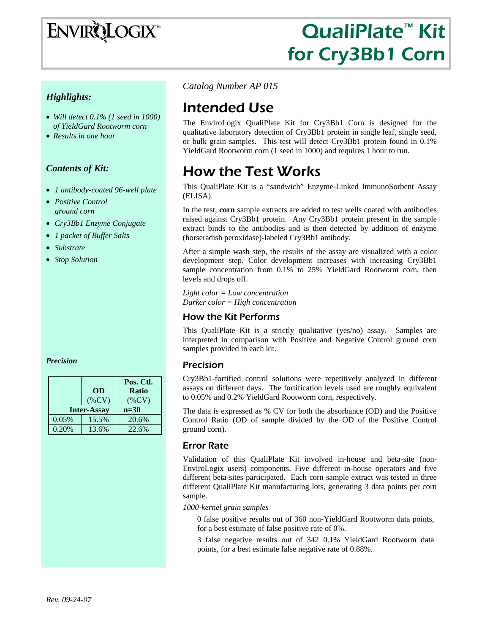# ENVIRQLOGIX

# QualiPlate™ Kit for Cry3Bb1 Corn

#### *Highlights:*

- *Will detect 0.1% (1 seed in 1000) of YieldGard Rootworm corn*
- *Results in one hour*

#### *Contents of Kit:*

- *1 antibody-coated 96-well plate*
- *Positive Control ground corn*
- *Cry3Bb1 Enzyme Conjugate*
- *1 packet of Buffer Salts*
- *Substrate*
- *Stop Solution*

#### *Precision*

|       | <b>OD</b>                      | Pos. Ctl.<br><b>Ratio</b> |  |  |  |
|-------|--------------------------------|---------------------------|--|--|--|
|       | $(\%CV)$<br><b>Inter-Assay</b> | $(\%CV)$<br>$n=30$        |  |  |  |
| 0.05% | 15.5%                          | 20.6%                     |  |  |  |
| 0.20% | 13.6%                          | 22.6%                     |  |  |  |

*Catalog Number AP 015*

## Intended Use

The EnviroLogix QualiPlate Kit for Cry3Bb1 Corn is designed for the qualitative laboratory detection of Cry3Bb1 protein in single leaf, single seed, or bulk grain samples. This test will detect Cry3Bb1 protein found in 0.1% YieldGard Rootworm corn (1 seed in 1000) and requires 1 hour to run.

# How the Test Works

This QualiPlate Kit is a "sandwich" Enzyme-Linked ImmunoSorbent Assay (ELISA).

In the test, **corn** sample extracts are added to test wells coated with antibodies raised against Cry3Bb1 protein. Any Cry3Bb1 protein present in the sample extract binds to the antibodies and is then detected by addition of enzyme (horseradish peroxidase)-labeled Cry3Bb1 antibody.

After a simple wash step, the results of the assay are visualized with a color development step. Color development increases with increasing Cry3Bb1 sample concentration from 0.1% to 25% YieldGard Rootworm corn, then levels and drops off.

*Light color = Low concentration Darker color = High concentration* 

#### How the Kit Performs

This QualiPlate Kit is a strictly qualitative (yes/no) assay. Samples are interpreted in comparison with Positive and Negative Control ground corn samples provided in each kit.

#### Precision

Cry3Bb1-fortified control solutions were repetitively analyzed in different assays on different days. The fortification levels used are roughly equivalent to 0.05% and 0.2% YieldGard Rootworm corn, respectively.

The data is expressed as % CV for both the absorbance (OD) and the Positive Control Ratio (OD of sample divided by the OD of the Positive Control ground corn).

#### Error Rate

Validation of this QualiPlate Kit involved in-house and beta-site (non-EnviroLogix users) components. Five different in-house operators and five different beta-sites participated. Each corn sample extract was tested in three different QualiPlate Kit manufacturing lots, generating 3 data points per corn sample.

*1000-kernel grain samples* 

0 false positive results out of 360 non-YieldGard Rootworm data points, for a best estimate of false positive rate of 0%.

3 false negative results out of 342 0.1% YieldGard Rootworm data points, for a best estimate false negative rate of 0.88%.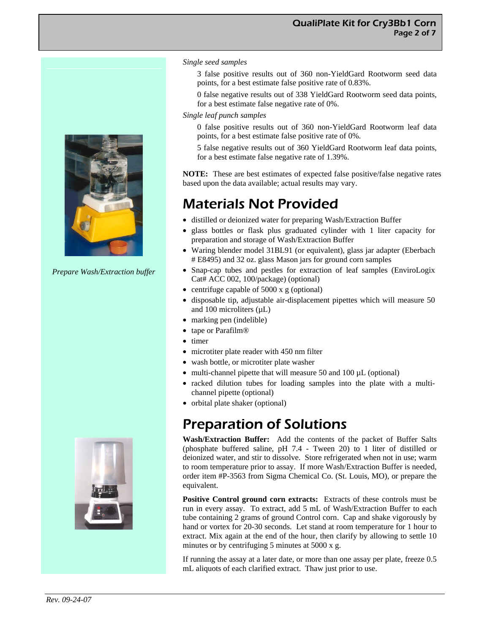

*Prepare Wash/Extraction buffer*



#### *Single seed samples*

- 3 false positive results out of 360 non-YieldGard Rootworm seed data points, for a best estimate false positive rate of 0.83%.
- 0 false negative results out of 338 YieldGard Rootworm seed data points, for a best estimate false negative rate of 0%.

#### *Single leaf punch samples*

- 0 false positive results out of 360 non-YieldGard Rootworm leaf data points, for a best estimate false positive rate of 0%.
- 5 false negative results out of 360 YieldGard Rootworm leaf data points, for a best estimate false negative rate of 1.39%.

**NOTE:** These are best estimates of expected false positive/false negative rates based upon the data available; actual results may vary.

### Materials Not Provided

- distilled or deionized water for preparing Wash/Extraction Buffer
- glass bottles or flask plus graduated cylinder with 1 liter capacity for preparation and storage of Wash/Extraction Buffer
- Waring blender model 31BL91 (or equivalent), glass jar adapter (Eberbach # E8495) and 32 oz. glass Mason jars for ground corn samples
- Snap-cap tubes and pestles for extraction of leaf samples (EnviroLogix Cat# ACC 002, 100/package) (optional)
- centrifuge capable of 5000 x g (optional)
- disposable tip, adjustable air-displacement pipettes which will measure 50 and 100 microliters  $(\mu L)$
- marking pen (indelible)
- tape or Parafilm<sup>®</sup>
- timer
- microtiter plate reader with 450 nm filter
- wash bottle, or microtiter plate washer
- multi-channel pipette that will measure 50 and 100 µL (optional)
- racked dilution tubes for loading samples into the plate with a multichannel pipette (optional)
- orbital plate shaker (optional)

### Preparation of Solutions

**Wash/Extraction Buffer:** Add the contents of the packet of Buffer Salts (phosphate buffered saline, pH 7.4 - Tween 20) to 1 liter of distilled or deionized water, and stir to dissolve. Store refrigerated when not in use; warm to room temperature prior to assay. If more Wash/Extraction Buffer is needed, order item #P-3563 from Sigma Chemical Co. (St. Louis, MO), or prepare the equivalent.

**Positive Control ground corn extracts:** Extracts of these controls must be run in every assay. To extract, add 5 mL of Wash/Extraction Buffer to each tube containing 2 grams of ground Control corn. Cap and shake vigorously by hand or vortex for 20-30 seconds. Let stand at room temperature for 1 hour to extract. Mix again at the end of the hour, then clarify by allowing to settle 10 minutes or by centrifuging 5 minutes at 5000 x g.

If running the assay at a later date, or more than one assay per plate, freeze 0.5 mL aliquots of each clarified extract. Thaw just prior to use.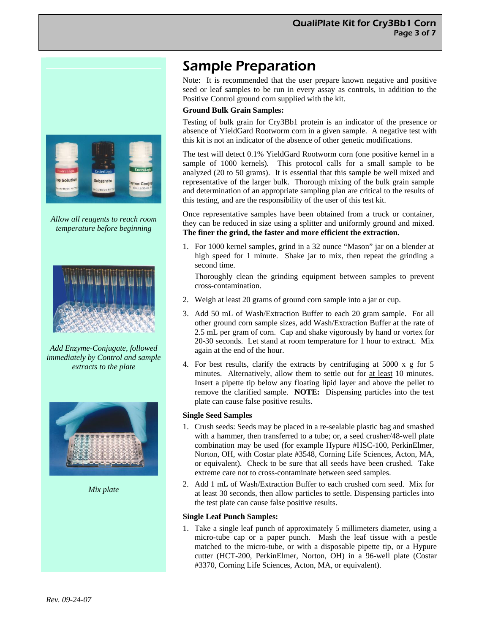

*Allow all reagents to reach room temperature before beginning*



*Add Enzyme-Conjugate, followed immediately by Control and sample extracts to the plate* 



*Mix plate* 

# Sample Preparation

Note: It is recommended that the user prepare known negative and positive seed or leaf samples to be run in every assay as controls, in addition to the Positive Control ground corn supplied with the kit.

#### **Ground Bulk Grain Samples:**

Testing of bulk grain for Cry3Bb1 protein is an indicator of the presence or absence of YieldGard Rootworm corn in a given sample. A negative test with this kit is not an indicator of the absence of other genetic modifications.

The test will detect 0.1% YieldGard Rootworm corn (one positive kernel in a sample of 1000 kernels). This protocol calls for a small sample to be analyzed (20 to 50 grams). It is essential that this sample be well mixed and representative of the larger bulk. Thorough mixing of the bulk grain sample and determination of an appropriate sampling plan are critical to the results of this testing, and are the responsibility of the user of this test kit.

Once representative samples have been obtained from a truck or container, they can be reduced in size using a splitter and uniformly ground and mixed. **The finer the grind, the faster and more efficient the extraction.** 

1. For 1000 kernel samples, grind in a 32 ounce "Mason" jar on a blender at high speed for 1 minute. Shake jar to mix, then repeat the grinding a second time.

 Thoroughly clean the grinding equipment between samples to prevent cross-contamination.

- 2. Weigh at least 20 grams of ground corn sample into a jar or cup.
- 3. Add 50 mL of Wash/Extraction Buffer to each 20 gram sample. For all other ground corn sample sizes, add Wash/Extraction Buffer at the rate of 2.5 mL per gram of corn. Cap and shake vigorously by hand or vortex for 20-30 seconds. Let stand at room temperature for 1 hour to extract. Mix again at the end of the hour.
- 4. For best results, clarify the extracts by centrifuging at 5000 x g for 5 minutes. Alternatively, allow them to settle out for at least 10 minutes. Insert a pipette tip below any floating lipid layer and above the pellet to remove the clarified sample. **NOTE:** Dispensing particles into the test plate can cause false positive results.

#### **Single Seed Samples**

- 1. Crush seeds: Seeds may be placed in a re-sealable plastic bag and smashed with a hammer, then transferred to a tube; or, a seed crusher/48-well plate combination may be used (for example Hypure #HSC-100, PerkinElmer, Norton, OH, with Costar plate #3548, Corning Life Sciences, Acton, MA, or equivalent). Check to be sure that all seeds have been crushed. Take extreme care not to cross-contaminate between seed samples.
- 2. Add 1 mL of Wash/Extraction Buffer to each crushed corn seed. Mix for at least 30 seconds, then allow particles to settle. Dispensing particles into the test plate can cause false positive results.

#### **Single Leaf Punch Samples:**

1. Take a single leaf punch of approximately 5 millimeters diameter, using a micro-tube cap or a paper punch. Mash the leaf tissue with a pestle matched to the micro-tube, or with a disposable pipette tip, or a Hypure cutter (HCT-200, PerkinElmer, Norton, OH) in a 96-well plate (Costar #3370, Corning Life Sciences, Acton, MA, or equivalent).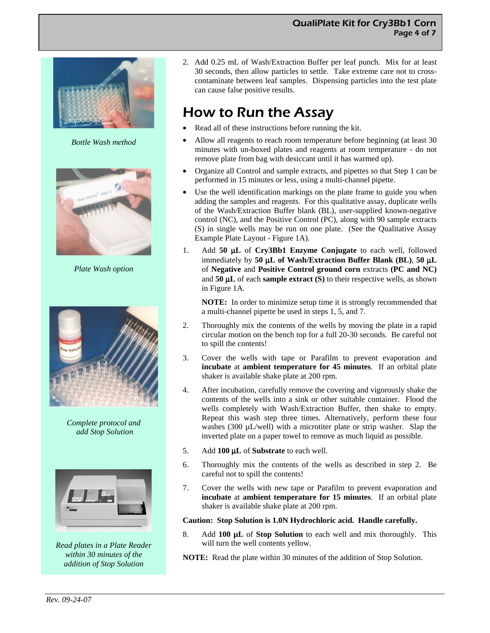#### QualiPlate Kit for Cry3Bb1 Corn Page 4 of 7



*Bottle Wash method* 



*Plate Wash option* 



*Complete protocol and add Stop Solution* 



*Read plates in a Plate Reader within 30 minutes of the addition of Stop Solution* 

2. Add 0.25 mL of Wash/Extraction Buffer per leaf punch. Mix for at least 30 seconds, then allow particles to settle. Take extreme care not to crosscontaminate between leaf samples. Dispensing particles into the test plate can cause false positive results.

## How to Run the Assay

- Read all of these instructions before running the kit.
- Allow all reagents to reach room temperature before beginning (at least 30 minutes with un-boxed plates and reagents at room temperature - do not remove plate from bag with desiccant until it has warmed up).
- Organize all Control and sample extracts, and pipettes so that Step 1 can be performed in 15 minutes or less, using a multi-channel pipette.
- Use the well identification markings on the plate frame to guide you when adding the samples and reagents. For this qualitative assay, duplicate wells of the Wash/Extraction Buffer blank (BL), user-supplied known-negative control (NC), and the Positive Control (PC), along with 90 sample extracts (S) in single wells may be run on one plate. (See the Qualitative Assay Example Plate Layout - Figure 1A).
- 1. Add **50** μ**L** of **Cry3Bb1 Enzyme Conjugate** to each well, followed immediately by **50** μ**L of Wash/Extraction Buffer Blank (BL)**, **50** μ**L** of **Negative** and **Positive Control ground corn** extracts **(PC and NC)** and **50** μ**L** of each **sample extract (S)** to their respective wells, as shown in Figure 1A.

**NOTE:** In order to minimize setup time it is strongly recommended that a multi-channel pipette be used in steps 1, 5, and 7.

- 2. Thoroughly mix the contents of the wells by moving the plate in a rapid circular motion on the bench top for a full 20-30 seconds. Be careful not to spill the contents!
- 3. Cover the wells with tape or Parafilm to prevent evaporation and **incubate** at **ambient temperature for 45 minutes**. If an orbital plate shaker is available shake plate at 200 rpm.
- 4. After incubation, carefully remove the covering and vigorously shake the contents of the wells into a sink or other suitable container. Flood the wells completely with Wash/Extraction Buffer, then shake to empty. Repeat this wash step three times. Alternatively, perform these four washes (300 µL/well) with a microtiter plate or strip washer. Slap the inverted plate on a paper towel to remove as much liquid as possible.
- 5. Add **100** μ**L** of **Substrate** to each well.
- 6. Thoroughly mix the contents of the wells as described in step 2. Be careful not to spill the contents!
- 7. Cover the wells with new tape or Parafilm to prevent evaporation and **incubate** at **ambient temperature for 15 minutes**. If an orbital plate shaker is available shake plate at 200 rpm.

#### **Caution: Stop Solution is 1.0N Hydrochloric acid. Handle carefully.**

- 8. Add **100 µL** of **Stop Solution** to each well and mix thoroughly. This will turn the well contents yellow.
- **NOTE:** Read the plate within 30 minutes of the addition of Stop Solution.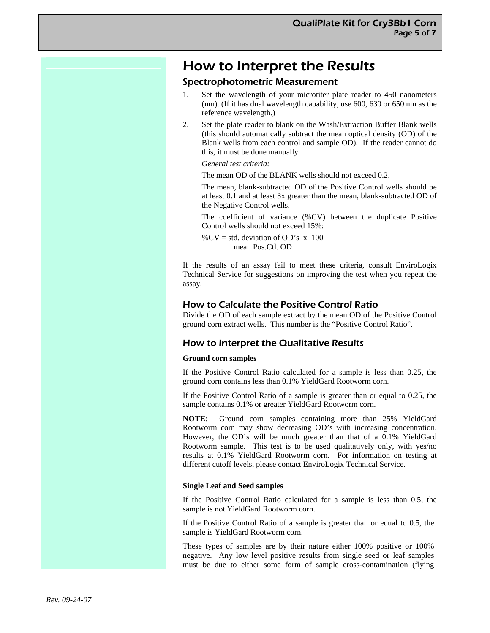### How to Interpret the Results

#### Spectrophotometric Measurement

- Set the wavelength of your microtiter plate reader to 450 nanometers (nm). (If it has dual wavelength capability, use 600, 630 or 650 nm as the reference wavelength.)
- 2. Set the plate reader to blank on the Wash/Extraction Buffer Blank wells (this should automatically subtract the mean optical density (OD) of the Blank wells from each control and sample OD). If the reader cannot do this, it must be done manually.

#### *General test criteria:*

The mean OD of the BLANK wells should not exceed 0.2.

The mean, blank-subtracted OD of the Positive Control wells should be at least 0.1 and at least 3x greater than the mean, blank-subtracted OD of the Negative Control wells.

The coefficient of variance (%CV) between the duplicate Positive Control wells should not exceed 15%:

% $CV = std. deviation of OD's x 100$ mean Pos.Ctl. OD

If the results of an assay fail to meet these criteria, consult EnviroLogix Technical Service for suggestions on improving the test when you repeat the assay.

#### How to Calculate the Positive Control Ratio

Divide the OD of each sample extract by the mean OD of the Positive Control ground corn extract wells. This number is the "Positive Control Ratio".

#### How to Interpret the Qualitative Results

#### **Ground corn samples**

If the Positive Control Ratio calculated for a sample is less than 0.25, the ground corn contains less than 0.1% YieldGard Rootworm corn.

If the Positive Control Ratio of a sample is greater than or equal to 0.25, the sample contains 0.1% or greater YieldGard Rootworm corn.

**NOTE**: Ground corn samples containing more than 25% YieldGard Rootworm corn may show decreasing OD's with increasing concentration. However, the OD's will be much greater than that of a 0.1% YieldGard Rootworm sample. This test is to be used qualitatively only, with yes/no results at 0.1% YieldGard Rootworm corn. For information on testing at different cutoff levels, please contact EnviroLogix Technical Service.

#### **Single Leaf and Seed samples**

If the Positive Control Ratio calculated for a sample is less than 0.5, the sample is not YieldGard Rootworm corn.

If the Positive Control Ratio of a sample is greater than or equal to 0.5, the sample is YieldGard Rootworm corn.

These types of samples are by their nature either 100% positive or 100% negative. Any low level positive results from single seed or leaf samples must be due to either some form of sample cross-contamination (flying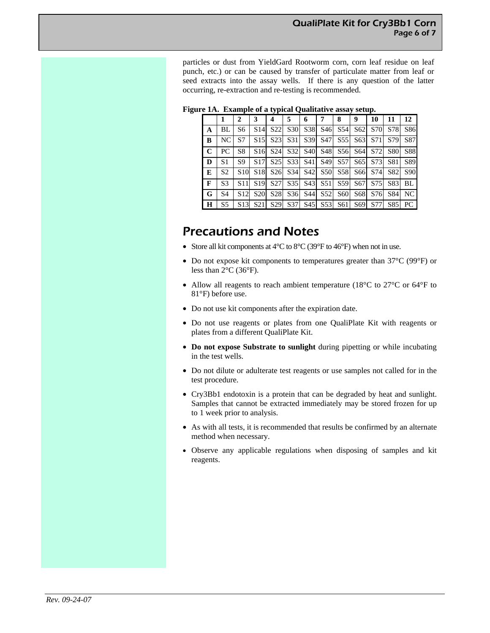particles or dust from YieldGard Rootworm corn, corn leaf residue on leaf punch, etc.) or can be caused by transfer of particulate matter from leaf or seed extracts into the assay wells. If there is any question of the latter occurring, re-extraction and re-testing is recommended.

| $=$ $\ldots$ $\ldots$ $\ldots$ $\ldots$ $\ldots$ $\ldots$ $\ldots$ $\ldots$ $\ldots$ $\ldots$ $\ldots$ $\ldots$ $\ldots$ $\ldots$ |             |                |                |     |                                                 |   |                                                                                                                                                                                 |   |   |   |    |           |    |
|-----------------------------------------------------------------------------------------------------------------------------------|-------------|----------------|----------------|-----|-------------------------------------------------|---|---------------------------------------------------------------------------------------------------------------------------------------------------------------------------------|---|---|---|----|-----------|----|
|                                                                                                                                   |             | 1              | 2              | 3   | 4                                               | 5 | 6                                                                                                                                                                               | 7 | 8 | 9 | 10 | <b>11</b> | 12 |
|                                                                                                                                   | A           | BL             | S <sub>6</sub> | S14 | S <sub>22</sub>                                 |   | S30 S38 S46 S54 S62 S70 S78 S86                                                                                                                                                 |   |   |   |    |           |    |
|                                                                                                                                   | B           | NC.            | S7             |     | S <sub>15</sub> S <sub>23</sub>                 |   | S31 S39 S47 S55 S63 S71 S79 S87                                                                                                                                                 |   |   |   |    |           |    |
|                                                                                                                                   | $\mathbf C$ | PC             | S <sub>8</sub> |     | S <sub>16</sub> S <sub>24</sub>                 |   | S32 S40 S48 S56 S64 S72 S80 S88                                                                                                                                                 |   |   |   |    |           |    |
|                                                                                                                                   | D           | S <sub>1</sub> | S9             |     |                                                 |   | S17 S25 S33 S41 S49 S57 S65 S73 S81 S89                                                                                                                                         |   |   |   |    |           |    |
|                                                                                                                                   | E           | S <sub>2</sub> |                |     |                                                 |   | S <sub>10</sub> S <sub>18</sub> S <sub>26</sub> S <sub>34</sub> S <sub>42</sub> S <sub>50</sub> S <sub>58</sub> S <sub>66</sub> S <sub>74</sub> S <sub>82</sub> S <sub>90</sub> |   |   |   |    |           |    |
|                                                                                                                                   | F           | S <sub>3</sub> |                |     |                                                 |   | S11 S19 S27 S35 S43 S51 S59 S67 S75 S83 BL                                                                                                                                      |   |   |   |    |           |    |
|                                                                                                                                   | G           | S <sub>4</sub> |                |     | S <sub>12</sub> S <sub>20</sub> S <sub>28</sub> |   | S36 S44 S52 S60 S68 S76 S84 NC                                                                                                                                                  |   |   |   |    |           |    |
|                                                                                                                                   | H           | S <sub>5</sub> |                |     |                                                 |   | S13 S21 S29 S37 S45 S53 S61 S69 S77 S85 PC                                                                                                                                      |   |   |   |    |           |    |

**Figure 1A. Example of a typical Qualitative assay setup.**

### Precautions and Notes

- Store all kit components at  $4^{\circ}$ C to  $8^{\circ}$ C (39°F to  $46^{\circ}$ F) when not in use.
- Do not expose kit components to temperatures greater than 37°C (99°F) or less than 2°C (36°F).
- Allow all reagents to reach ambient temperature (18°C to 27°C or 64°F to 81°F) before use.
- Do not use kit components after the expiration date.
- Do not use reagents or plates from one QualiPlate Kit with reagents or plates from a different QualiPlate Kit.
- **Do not expose Substrate to sunlight** during pipetting or while incubating in the test wells.
- Do not dilute or adulterate test reagents or use samples not called for in the test procedure.
- Cry3Bb1 endotoxin is a protein that can be degraded by heat and sunlight. Samples that cannot be extracted immediately may be stored frozen for up to 1 week prior to analysis.
- As with all tests, it is recommended that results be confirmed by an alternate method when necessary.
- Observe any applicable regulations when disposing of samples and kit reagents.